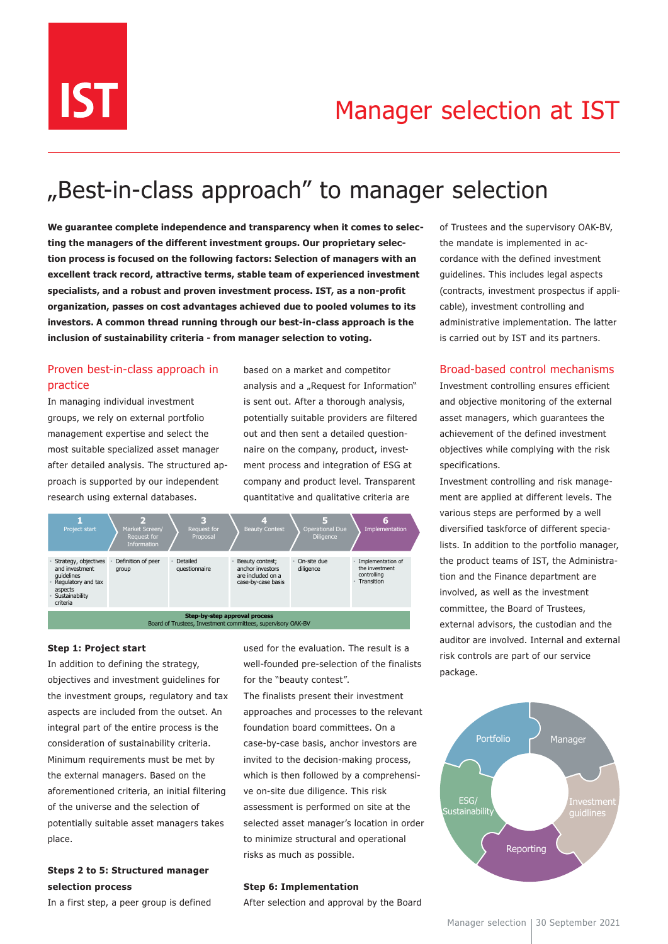

# "Best-in-class approach" to manager selection

**We guarantee complete independence and transparency when it comes to selecting the managers of the different investment groups. Our proprietary selection process is focused on the following factors: Selection of managers with an excellent track record, attractive terms, stable team of experienced investment specialists, and a robust and proven investment process. IST, as a non-profit organization, passes on cost advantages achieved due to pooled volumes to its investors. A common thread running through our best-in-class approach is the inclusion of sustainability criteria - from manager selection to voting.**

# Proven best-in-class approach in practice

In managing individual investment groups, we rely on external portfolio management expertise and select the most suitable specialized asset manager after detailed analysis. The structured approach is supported by our independent research using external databases.

company and product level. Transparent strukturierter und verstelligten verstelligten are produced and qualitative criteria are based on a market and competitor analysis and a "Request for Information" is sent out. After a thorough analysis, potentially suitable providers are filtered out and then sent a detailed questionnaire on the company, product, investment process and integration of ESG at



## **Step 1: Project start**

integral part of the entire process is the In addition to defining the strategy, objectives and investment guidelines for the investment groups, regulatory and tax aspects are included from the outset. An consideration of sustainability criteria. Minimum requirements must be met by the external managers. Based on the aforementioned criteria, an initial filtering of the universe and the selection of potentially suitable asset managers takes place.

## **Steps 2 to 5: Structured manager selection process**

In a first step, a peer group is defined

used for the evaluation. The result is a well-founded pre-selection of the finalists for the "beauty contest".

The finalists present their investment approaches and processes to the relevant foundation board committees. On a case-by-case basis, anchor investors are invited to the decision-making process, which is then followed by a comprehensive on-site due diligence. This risk assessment is performed on site at the selected asset manager's location in order to minimize structural and operational risks as much as possible.

#### **Step 6: Implementation**

After selection and approval by the Board

of Trustees and the supervisory OAK-BV, the mandate is implemented in accordance with the defined investment guidelines. This includes legal aspects (contracts, investment prospectus if applicable), investment controlling and administrative implementation. The latter is carried out by IST and its partners.

## Broad-based control mechanisms

Investment controlling ensures efficient and objective monitoring of the external asset managers, which guarantees the achievement of the defined investment objectives while complying with the risk specifications.

Investment controlling and risk management are applied at different levels. The various steps are performed by a well diversified taskforce of different specialists. In addition to the portfolio manager, the product teams of IST, the Administration and the Finance department are involved, as well as the investment committee, the Board of Trustees, external advisors, the custodian and the auditor are involved. Internal and external risk controls are part of our service package. Investment Controlling und Risikomanagement Controlling und Risikomanagement Controlling und Risikoma